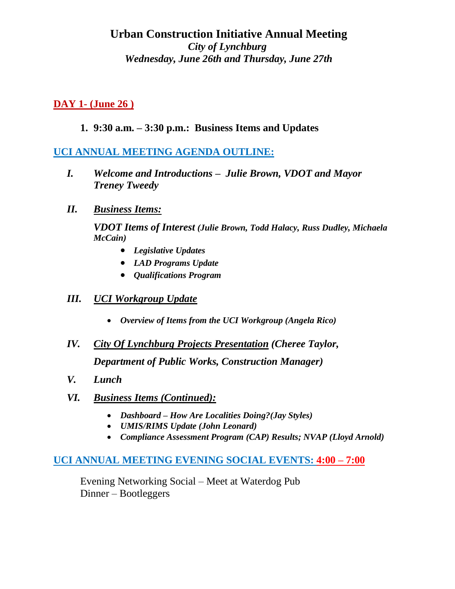# **Urban Construction Initiative Annual Meeting** *City of Lynchburg Wednesday, June 26th and Thursday, June 27th*

## **DAY 1- (June 26 )**

## **1. 9:30 a.m. – 3:30 p.m.: Business Items and Updates**

## **UCI ANNUAL MEETING AGENDA OUTLINE:**

- *I. Welcome and Introductions Julie Brown, VDOT and Mayor Treney Tweedy*
- *II. Business Items:*

*VDOT Items of Interest (Julie Brown, Todd Halacy, Russ Dudley, Michaela McCain)*

- *Legislative Updates*
- *LAD Programs Update*
- *Qualifications Program*

#### *III. UCI Workgroup Update*

- *Overview of Items from the UCI Workgroup (Angela Rico)*
- *IV. City Of Lynchburg Projects Presentation (Cheree Taylor, Department of Public Works, Construction Manager)*
- *V. Lunch*
- *VI. Business Items (Continued):* 
	- *Dashboard – How Are Localities Doing?(Jay Styles)*
	- *UMIS/RIMS Update (John Leonard)*
	- *Compliance Assessment Program (CAP) Results; NVAP (Lloyd Arnold)*

### **UCI ANNUAL MEETING EVENING SOCIAL EVENTS: 4:00 – 7:00**

Evening Networking Social – Meet at Waterdog Pub Dinner – Bootleggers